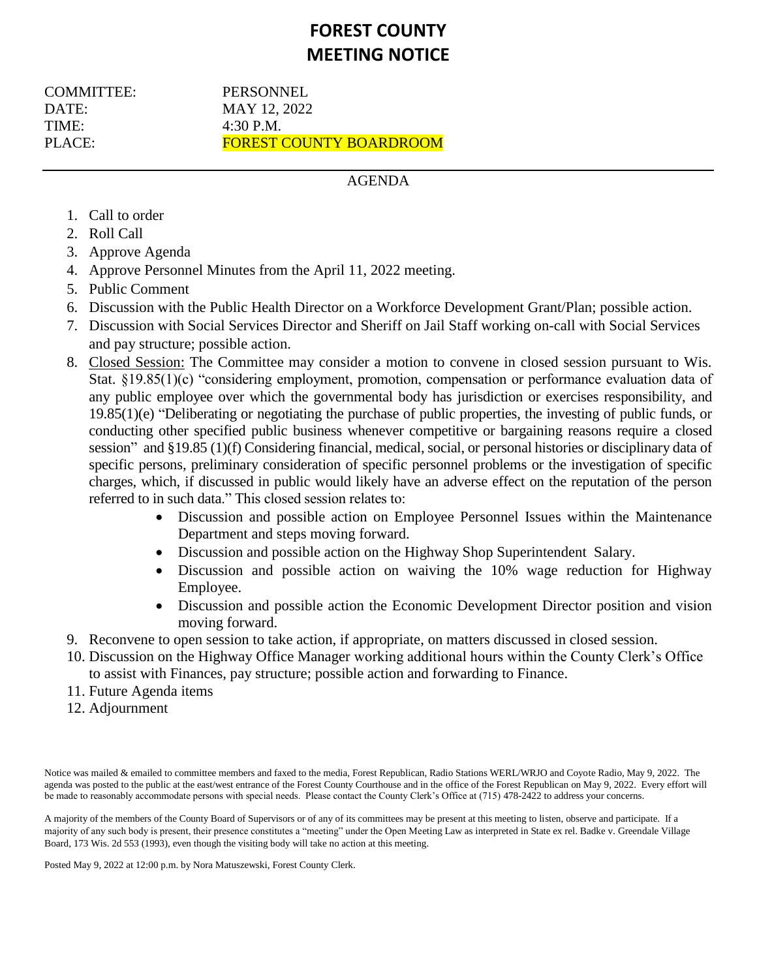# **FOREST COUNTY MEETING NOTICE**

COMMITTEE: PERSONNEL DATE: MAY 12, 2022  $TIME: 4:30 PM.$ 

PLACE: FOREST COUNTY BOARDROOM

# AGENDA

- 1. Call to order
- 2. Roll Call
- 3. Approve Agenda
- 4. Approve Personnel Minutes from the April 11, 2022 meeting.
- 5. Public Comment
- 6. Discussion with the Public Health Director on a Workforce Development Grant/Plan; possible action.
- 7. Discussion with Social Services Director and Sheriff on Jail Staff working on-call with Social Services and pay structure; possible action.
- 8. Closed Session: The Committee may consider a motion to convene in closed session pursuant to Wis. Stat. §19.85(1)(c) "considering employment, promotion, compensation or performance evaluation data of any public employee over which the governmental body has jurisdiction or exercises responsibility, and 19.85(1)(e) "Deliberating or negotiating the purchase of public properties, the investing of public funds, or conducting other specified public business whenever competitive or bargaining reasons require a closed session" and §19.85 (1)(f) Considering financial, medical, social, or personal histories or disciplinary data of specific persons, preliminary consideration of specific personnel problems or the investigation of specific charges, which, if discussed in public would likely have an adverse effect on the reputation of the person referred to in such data." This closed session relates to:
	- Discussion and possible action on Employee Personnel Issues within the Maintenance Department and steps moving forward.
	- Discussion and possible action on the Highway Shop Superintendent Salary.
	- Discussion and possible action on waiving the 10% wage reduction for Highway Employee.
	- Discussion and possible action the Economic Development Director position and vision moving forward.
- 9. Reconvene to open session to take action, if appropriate, on matters discussed in closed session.
- 10. Discussion on the Highway Office Manager working additional hours within the County Clerk's Office to assist with Finances, pay structure; possible action and forwarding to Finance.
- 11. Future Agenda items
- 12. Adjournment

Notice was mailed & emailed to committee members and faxed to the media, Forest Republican, Radio Stations WERL/WRJO and Coyote Radio, May 9, 2022. The agenda was posted to the public at the east/west entrance of the Forest County Courthouse and in the office of the Forest Republican on May 9, 2022. Every effort will be made to reasonably accommodate persons with special needs. Please contact the County Clerk's Office at (715) 478-2422 to address your concerns.

A majority of the members of the County Board of Supervisors or of any of its committees may be present at this meeting to listen, observe and participate. If a majority of any such body is present, their presence constitutes a "meeting" under the Open Meeting Law as interpreted in State ex rel. Badke v. Greendale Village Board, 173 Wis. 2d 553 (1993), even though the visiting body will take no action at this meeting.

Posted May 9, 2022 at 12:00 p.m. by Nora Matuszewski, Forest County Clerk.